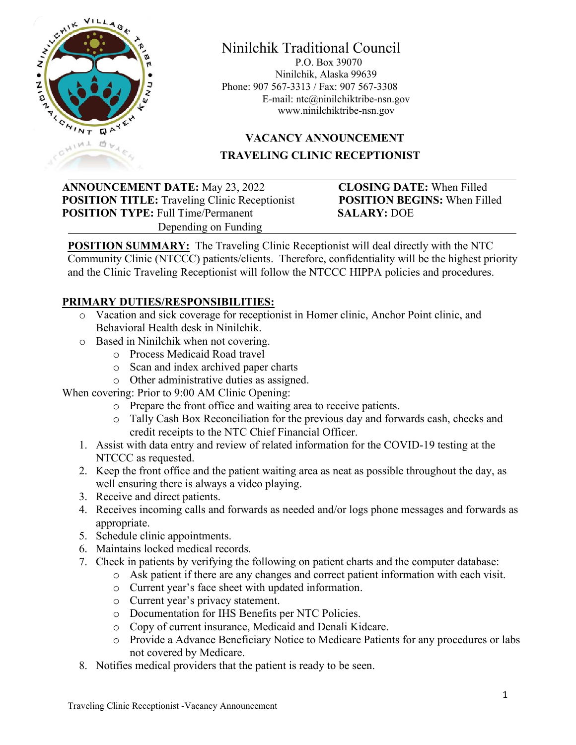

#### Ninilchik Traditional Council P.O. Box 39070 Ninilchik, Alaska 99639 Phone: 907 567-3313 / Fax: 907 567-3308 E-mail: [ntc@ninilchiktribe-nsn.gov](mailto:ntc@ninilchiktribe-nsn.gov) www.ninilchiktribe-nsn.gov

# **VACANCY ANNOUNCEMENT TRAVELING CLINIC RECEPTIONIST**

**ANNOUNCEMENT DATE:** May 23, 2022 **CLOSING DATE:** When Filled **POSITION TITLE:** Traveling Clinic Receptionist **POSITION BEGINS:** When Filled **POSITION TYPE:** Full Time/Permanent SALARY: DOE Depending on Funding

**POSITION SUMMARY:** The Traveling Clinic Receptionist will deal directly with the NTC Community Clinic (NTCCC) patients/clients. Therefore, confidentiality will be the highest priority and the Clinic Traveling Receptionist will follow the NTCCC HIPPA policies and procedures.

### **PRIMARY DUTIES/RESPONSIBILITIES:**

- o Vacation and sick coverage for receptionist in Homer clinic, Anchor Point clinic, and Behavioral Health desk in Ninilchik.
- o Based in Ninilchik when not covering.
	- o Process Medicaid Road travel
	- o Scan and index archived paper charts
	- o Other administrative duties as assigned.

When covering: Prior to 9:00 AM Clinic Opening:

- o Prepare the front office and waiting area to receive patients.
- o Tally Cash Box Reconciliation for the previous day and forwards cash, checks and credit receipts to the NTC Chief Financial Officer.
- 1. Assist with data entry and review of related information for the COVID-19 testing at the NTCCC as requested.
- 2. Keep the front office and the patient waiting area as neat as possible throughout the day, as well ensuring there is always a video playing.
- 3. Receive and direct patients.
- 4. Receives incoming calls and forwards as needed and/or logs phone messages and forwards as appropriate.
- 5. Schedule clinic appointments.
- 6. Maintains locked medical records.
- 7. Check in patients by verifying the following on patient charts and the computer database:
	- o Ask patient if there are any changes and correct patient information with each visit.
	- o Current year's face sheet with updated information.
	- o Current year's privacy statement.
	- o Documentation for IHS Benefits per NTC Policies.
	- o Copy of current insurance, Medicaid and Denali Kidcare.
	- o Provide a Advance Beneficiary Notice to Medicare Patients for any procedures or labs not covered by Medicare.
- 8. Notifies medical providers that the patient is ready to be seen.